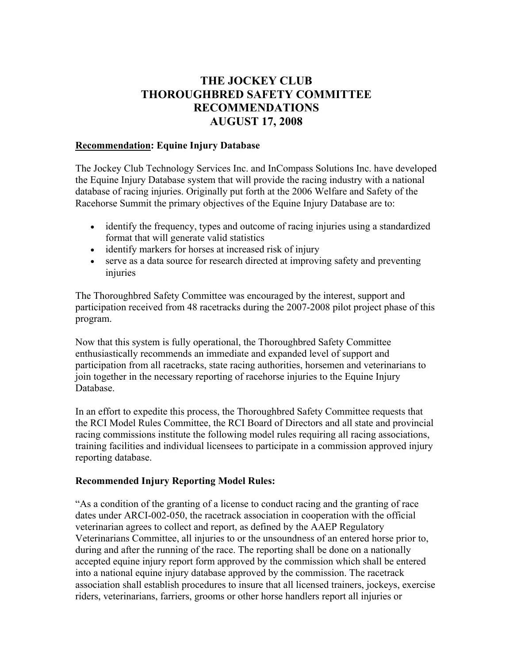## **THE JOCKEY CLUB THOROUGHBRED SAFETY COMMITTEE RECOMMENDATIONS AUGUST 17, 2008**

## **Recommendation: Equine Injury Database**

The Jockey Club Technology Services Inc. and InCompass Solutions Inc. have developed the Equine Injury Database system that will provide the racing industry with a national database of racing injuries. Originally put forth at the 2006 Welfare and Safety of the Racehorse Summit the primary objectives of the Equine Injury Database are to:

- identify the frequency, types and outcome of racing injuries using a standardized format that will generate valid statistics
- identify markers for horses at increased risk of injury
- serve as a data source for research directed at improving safety and preventing injuries

The Thoroughbred Safety Committee was encouraged by the interest, support and participation received from 48 racetracks during the 2007-2008 pilot project phase of this program.

Now that this system is fully operational, the Thoroughbred Safety Committee enthusiastically recommends an immediate and expanded level of support and participation from all racetracks, state racing authorities, horsemen and veterinarians to join together in the necessary reporting of racehorse injuries to the Equine Injury Database.

In an effort to expedite this process, the Thoroughbred Safety Committee requests that the RCI Model Rules Committee, the RCI Board of Directors and all state and provincial racing commissions institute the following model rules requiring all racing associations, training facilities and individual licensees to participate in a commission approved injury reporting database.

## **Recommended Injury Reporting Model Rules:**

"As a condition of the granting of a license to conduct racing and the granting of race dates under ARCI-002-050, the racetrack association in cooperation with the official veterinarian agrees to collect and report, as defined by the AAEP Regulatory Veterinarians Committee, all injuries to or the unsoundness of an entered horse prior to, during and after the running of the race. The reporting shall be done on a nationally accepted equine injury report form approved by the commission which shall be entered into a national equine injury database approved by the commission. The racetrack association shall establish procedures to insure that all licensed trainers, jockeys, exercise riders, veterinarians, farriers, grooms or other horse handlers report all injuries or